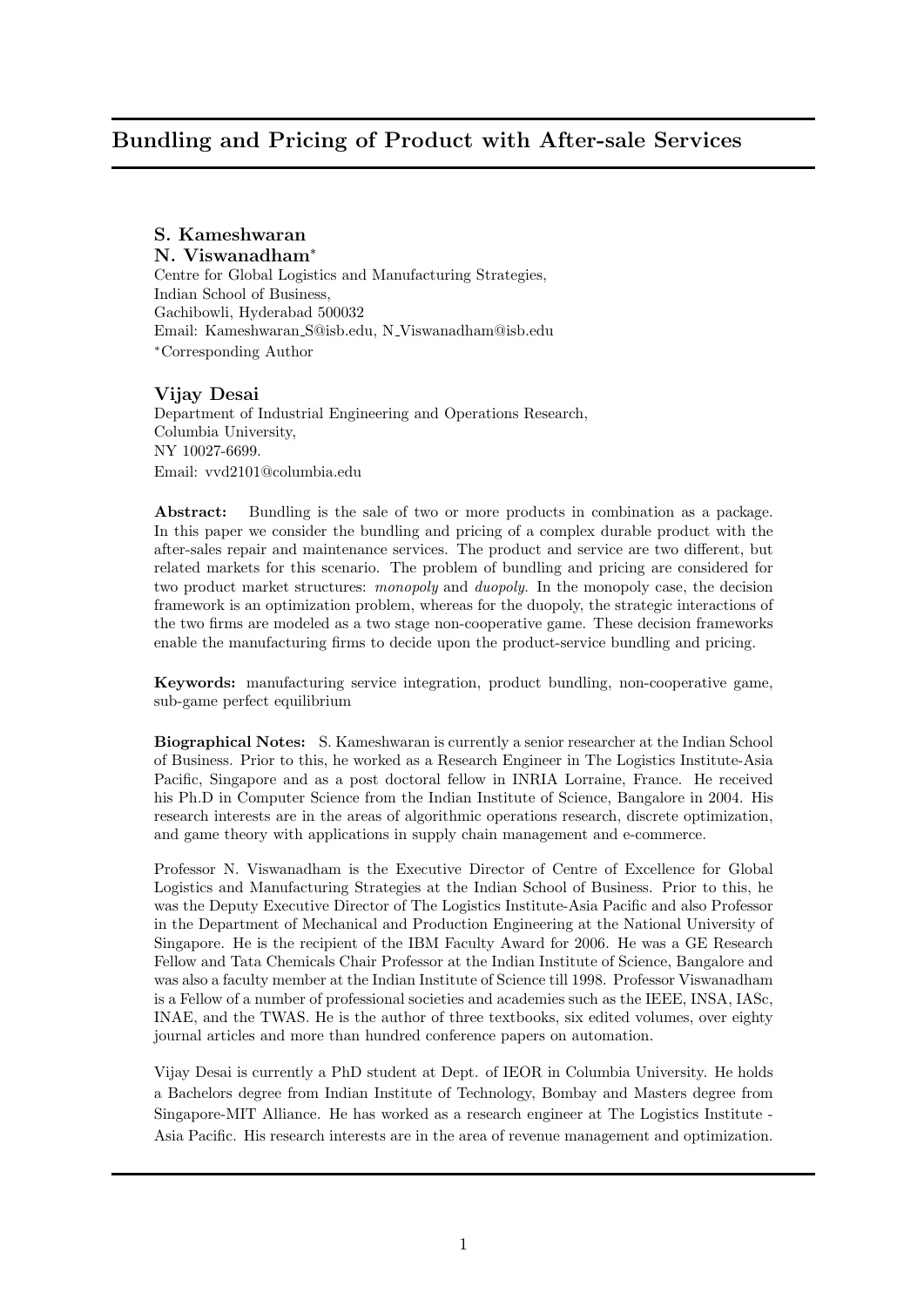# Bundling and Pricing of Product with After-sale Services

#### S. Kameshwaran N. Viswanadham<sup>∗</sup>

Centre for Global Logistics and Manufacturing Strategies, Indian School of Business, Gachibowli, Hyderabad 500032 Email: Kameshwaran S@isb.edu, N Viswanadham@isb.edu <sup>∗</sup>Corresponding Author

## Vijay Desai

Department of Industrial Engineering and Operations Research, Columbia University, NY 10027-6699. Email: vvd2101@columbia.edu

Abstract: Bundling is the sale of two or more products in combination as a package. In this paper we consider the bundling and pricing of a complex durable product with the after-sales repair and maintenance services. The product and service are two different, but related markets for this scenario. The problem of bundling and pricing are considered for two product market structures: monopoly and duopoly. In the monopoly case, the decision framework is an optimization problem, whereas for the duopoly, the strategic interactions of the two firms are modeled as a two stage non-cooperative game. These decision frameworks enable the manufacturing firms to decide upon the product-service bundling and pricing.

Keywords: manufacturing service integration, product bundling, non-cooperative game, sub-game perfect equilibrium

Biographical Notes: S. Kameshwaran is currently a senior researcher at the Indian School of Business. Prior to this, he worked as a Research Engineer in The Logistics Institute-Asia Pacific, Singapore and as a post doctoral fellow in INRIA Lorraine, France. He received his Ph.D in Computer Science from the Indian Institute of Science, Bangalore in 2004. His research interests are in the areas of algorithmic operations research, discrete optimization, and game theory with applications in supply chain management and e-commerce.

Professor N. Viswanadham is the Executive Director of Centre of Excellence for Global Logistics and Manufacturing Strategies at the Indian School of Business. Prior to this, he was the Deputy Executive Director of The Logistics Institute-Asia Pacific and also Professor in the Department of Mechanical and Production Engineering at the National University of Singapore. He is the recipient of the IBM Faculty Award for 2006. He was a GE Research Fellow and Tata Chemicals Chair Professor at the Indian Institute of Science, Bangalore and was also a faculty member at the Indian Institute of Science till 1998. Professor Viswanadham is a Fellow of a number of professional societies and academies such as the IEEE, INSA, IASc, INAE, and the TWAS. He is the author of three textbooks, six edited volumes, over eighty journal articles and more than hundred conference papers on automation.

Vijay Desai is currently a PhD student at Dept. of IEOR in Columbia University. He holds a Bachelors degree from Indian Institute of Technology, Bombay and Masters degree from Singapore-MIT Alliance. He has worked as a research engineer at The Logistics Institute - Asia Pacific. His research interests are in the area of revenue management and optimization.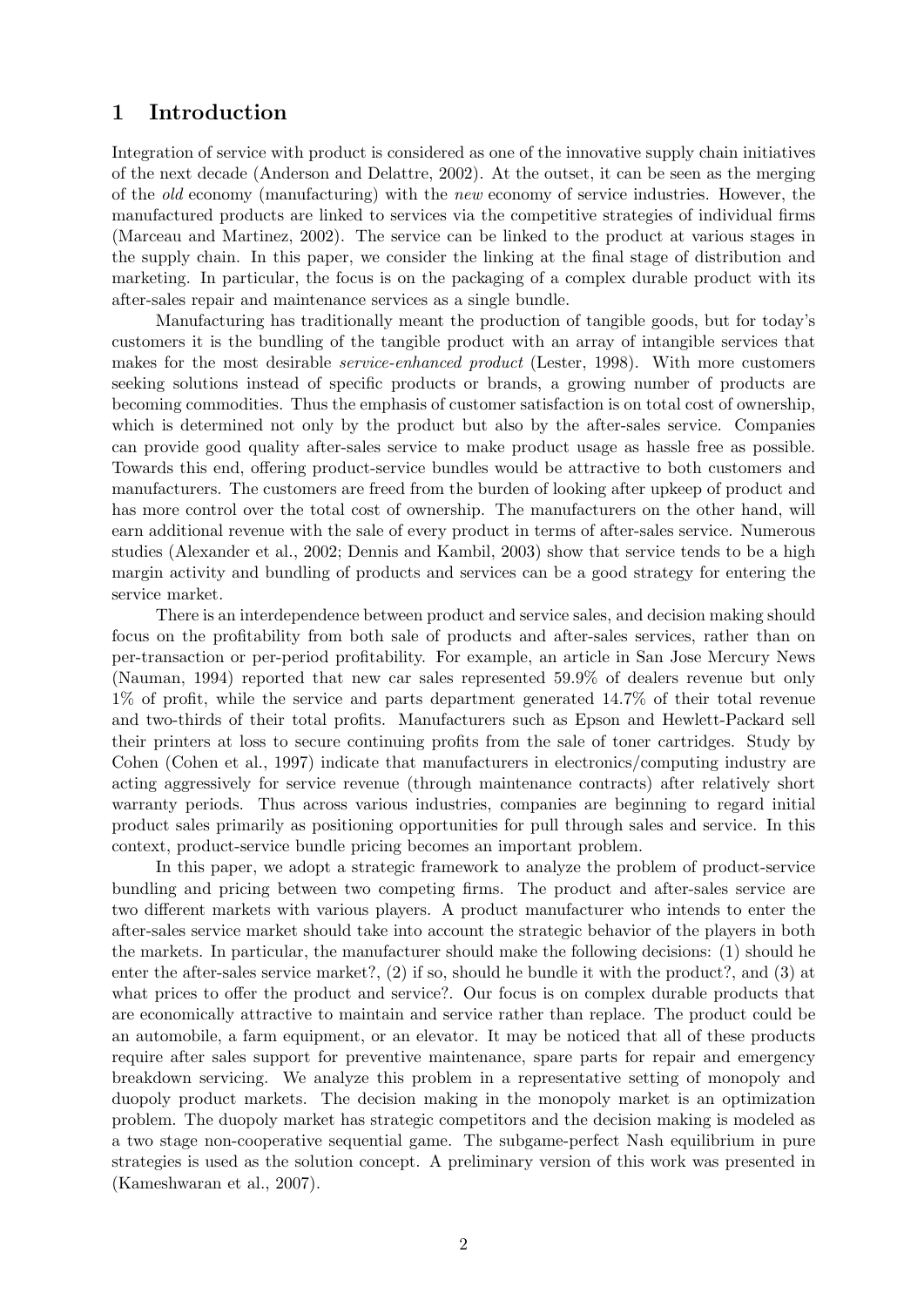# 1 Introduction

Integration of service with product is considered as one of the innovative supply chain initiatives of the next decade (Anderson and Delattre, 2002). At the outset, it can be seen as the merging of the old economy (manufacturing) with the new economy of service industries. However, the manufactured products are linked to services via the competitive strategies of individual firms (Marceau and Martinez, 2002). The service can be linked to the product at various stages in the supply chain. In this paper, we consider the linking at the final stage of distribution and marketing. In particular, the focus is on the packaging of a complex durable product with its after-sales repair and maintenance services as a single bundle.

Manufacturing has traditionally meant the production of tangible goods, but for today's customers it is the bundling of the tangible product with an array of intangible services that makes for the most desirable service-enhanced product (Lester, 1998). With more customers seeking solutions instead of specific products or brands, a growing number of products are becoming commodities. Thus the emphasis of customer satisfaction is on total cost of ownership, which is determined not only by the product but also by the after-sales service. Companies can provide good quality after-sales service to make product usage as hassle free as possible. Towards this end, offering product-service bundles would be attractive to both customers and manufacturers. The customers are freed from the burden of looking after upkeep of product and has more control over the total cost of ownership. The manufacturers on the other hand, will earn additional revenue with the sale of every product in terms of after-sales service. Numerous studies (Alexander et al., 2002; Dennis and Kambil, 2003) show that service tends to be a high margin activity and bundling of products and services can be a good strategy for entering the service market.

There is an interdependence between product and service sales, and decision making should focus on the profitability from both sale of products and after-sales services, rather than on per-transaction or per-period profitability. For example, an article in San Jose Mercury News (Nauman, 1994) reported that new car sales represented 59.9% of dealers revenue but only 1% of profit, while the service and parts department generated 14.7% of their total revenue and two-thirds of their total profits. Manufacturers such as Epson and Hewlett-Packard sell their printers at loss to secure continuing profits from the sale of toner cartridges. Study by Cohen (Cohen et al., 1997) indicate that manufacturers in electronics/computing industry are acting aggressively for service revenue (through maintenance contracts) after relatively short warranty periods. Thus across various industries, companies are beginning to regard initial product sales primarily as positioning opportunities for pull through sales and service. In this context, product-service bundle pricing becomes an important problem.

In this paper, we adopt a strategic framework to analyze the problem of product-service bundling and pricing between two competing firms. The product and after-sales service are two different markets with various players. A product manufacturer who intends to enter the after-sales service market should take into account the strategic behavior of the players in both the markets. In particular, the manufacturer should make the following decisions: (1) should he enter the after-sales service market?, (2) if so, should he bundle it with the product?, and (3) at what prices to offer the product and service?. Our focus is on complex durable products that are economically attractive to maintain and service rather than replace. The product could be an automobile, a farm equipment, or an elevator. It may be noticed that all of these products require after sales support for preventive maintenance, spare parts for repair and emergency breakdown servicing. We analyze this problem in a representative setting of monopoly and duopoly product markets. The decision making in the monopoly market is an optimization problem. The duopoly market has strategic competitors and the decision making is modeled as a two stage non-cooperative sequential game. The subgame-perfect Nash equilibrium in pure strategies is used as the solution concept. A preliminary version of this work was presented in (Kameshwaran et al., 2007).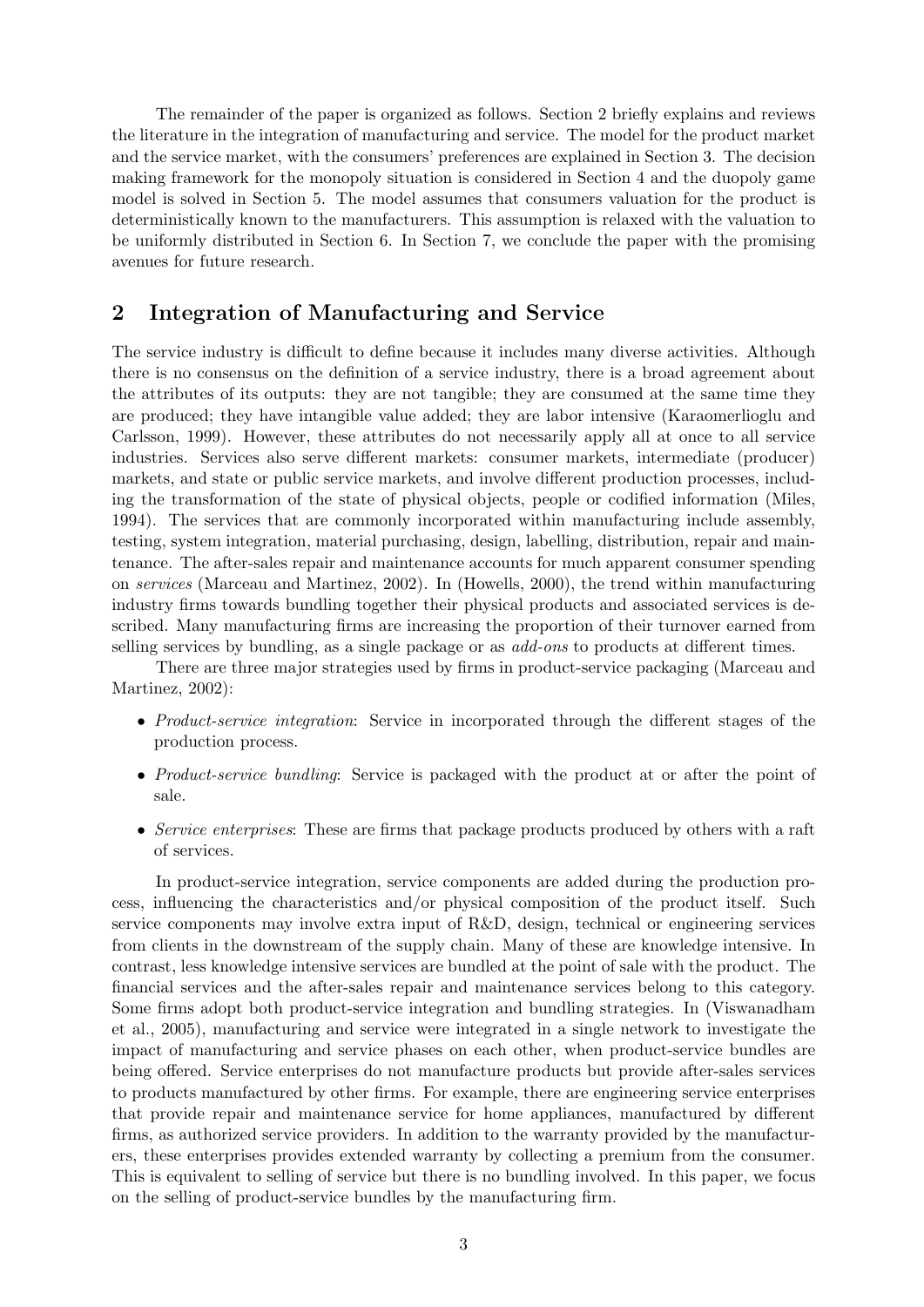The remainder of the paper is organized as follows. Section 2 briefly explains and reviews the literature in the integration of manufacturing and service. The model for the product market and the service market, with the consumers' preferences are explained in Section 3. The decision making framework for the monopoly situation is considered in Section 4 and the duopoly game model is solved in Section 5. The model assumes that consumers valuation for the product is deterministically known to the manufacturers. This assumption is relaxed with the valuation to be uniformly distributed in Section 6. In Section 7, we conclude the paper with the promising avenues for future research.

# 2 Integration of Manufacturing and Service

The service industry is difficult to define because it includes many diverse activities. Although there is no consensus on the definition of a service industry, there is a broad agreement about the attributes of its outputs: they are not tangible; they are consumed at the same time they are produced; they have intangible value added; they are labor intensive (Karaomerlioglu and Carlsson, 1999). However, these attributes do not necessarily apply all at once to all service industries. Services also serve different markets: consumer markets, intermediate (producer) markets, and state or public service markets, and involve different production processes, including the transformation of the state of physical objects, people or codified information (Miles, 1994). The services that are commonly incorporated within manufacturing include assembly, testing, system integration, material purchasing, design, labelling, distribution, repair and maintenance. The after-sales repair and maintenance accounts for much apparent consumer spending on services (Marceau and Martinez, 2002). In (Howells, 2000), the trend within manufacturing industry firms towards bundling together their physical products and associated services is described. Many manufacturing firms are increasing the proportion of their turnover earned from selling services by bundling, as a single package or as add-ons to products at different times.

There are three major strategies used by firms in product-service packaging (Marceau and Martinez, 2002):

- Product-service integration: Service in incorporated through the different stages of the production process.
- Product-service bundling: Service is packaged with the product at or after the point of sale.
- Service enterprises: These are firms that package products produced by others with a raft of services.

In product-service integration, service components are added during the production process, influencing the characteristics and/or physical composition of the product itself. Such service components may involve extra input of R&D, design, technical or engineering services from clients in the downstream of the supply chain. Many of these are knowledge intensive. In contrast, less knowledge intensive services are bundled at the point of sale with the product. The financial services and the after-sales repair and maintenance services belong to this category. Some firms adopt both product-service integration and bundling strategies. In (Viswanadham et al., 2005), manufacturing and service were integrated in a single network to investigate the impact of manufacturing and service phases on each other, when product-service bundles are being offered. Service enterprises do not manufacture products but provide after-sales services to products manufactured by other firms. For example, there are engineering service enterprises that provide repair and maintenance service for home appliances, manufactured by different firms, as authorized service providers. In addition to the warranty provided by the manufacturers, these enterprises provides extended warranty by collecting a premium from the consumer. This is equivalent to selling of service but there is no bundling involved. In this paper, we focus on the selling of product-service bundles by the manufacturing firm.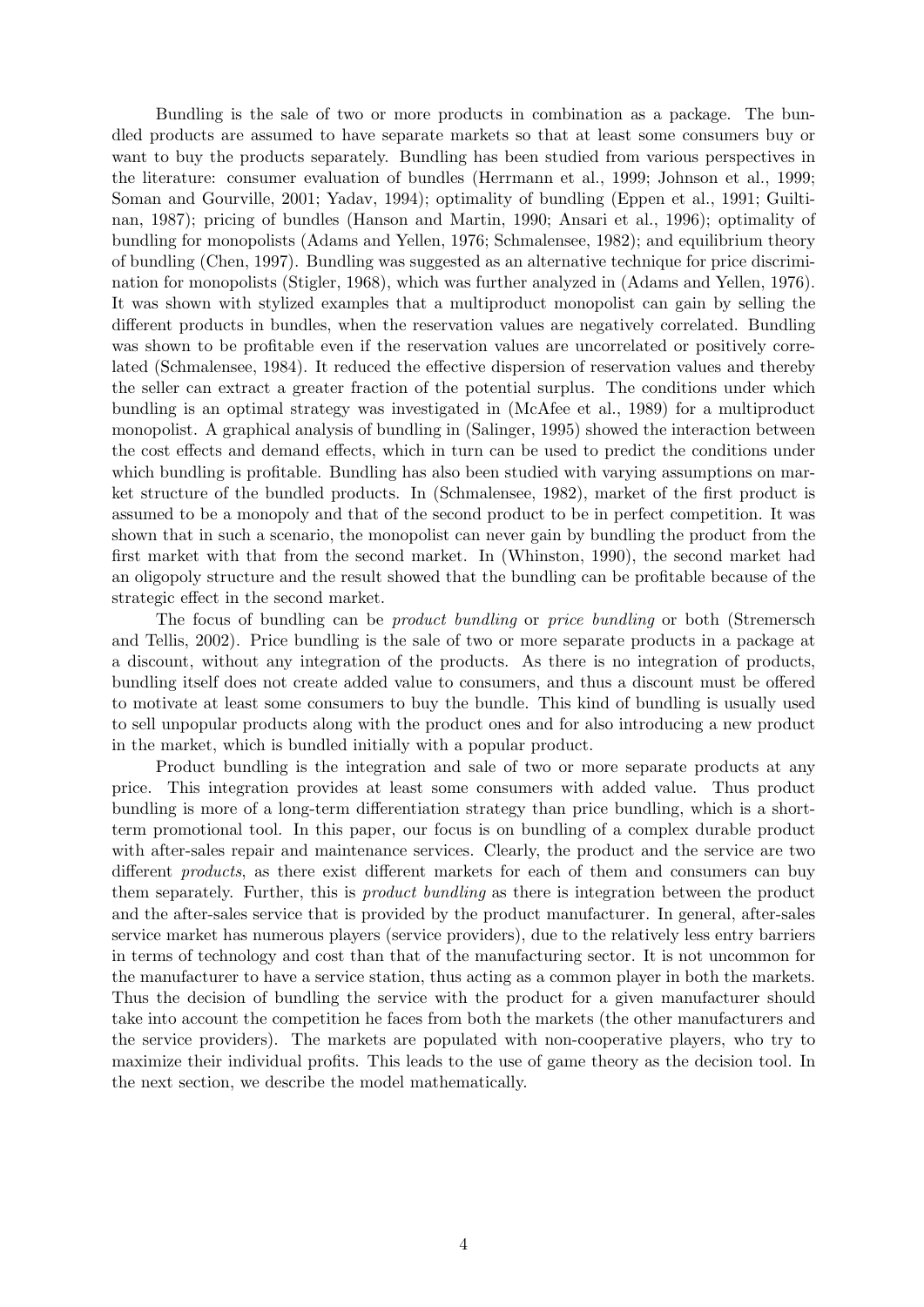Bundling is the sale of two or more products in combination as a package. The bundled products are assumed to have separate markets so that at least some consumers buy or want to buy the products separately. Bundling has been studied from various perspectives in the literature: consumer evaluation of bundles (Herrmann et al., 1999; Johnson et al., 1999; Soman and Gourville, 2001; Yadav, 1994); optimality of bundling (Eppen et al., 1991; Guiltinan, 1987); pricing of bundles (Hanson and Martin, 1990; Ansari et al., 1996); optimality of bundling for monopolists (Adams and Yellen, 1976; Schmalensee, 1982); and equilibrium theory of bundling (Chen, 1997). Bundling was suggested as an alternative technique for price discrimination for monopolists (Stigler, 1968), which was further analyzed in (Adams and Yellen, 1976). It was shown with stylized examples that a multiproduct monopolist can gain by selling the different products in bundles, when the reservation values are negatively correlated. Bundling was shown to be profitable even if the reservation values are uncorrelated or positively correlated (Schmalensee, 1984). It reduced the effective dispersion of reservation values and thereby the seller can extract a greater fraction of the potential surplus. The conditions under which bundling is an optimal strategy was investigated in (McAfee et al., 1989) for a multiproduct monopolist. A graphical analysis of bundling in (Salinger, 1995) showed the interaction between the cost effects and demand effects, which in turn can be used to predict the conditions under which bundling is profitable. Bundling has also been studied with varying assumptions on market structure of the bundled products. In (Schmalensee, 1982), market of the first product is assumed to be a monopoly and that of the second product to be in perfect competition. It was shown that in such a scenario, the monopolist can never gain by bundling the product from the first market with that from the second market. In (Whinston, 1990), the second market had an oligopoly structure and the result showed that the bundling can be profitable because of the strategic effect in the second market.

The focus of bundling can be product bundling or price bundling or both (Stremersch and Tellis, 2002). Price bundling is the sale of two or more separate products in a package at a discount, without any integration of the products. As there is no integration of products, bundling itself does not create added value to consumers, and thus a discount must be offered to motivate at least some consumers to buy the bundle. This kind of bundling is usually used to sell unpopular products along with the product ones and for also introducing a new product in the market, which is bundled initially with a popular product.

Product bundling is the integration and sale of two or more separate products at any price. This integration provides at least some consumers with added value. Thus product bundling is more of a long-term differentiation strategy than price bundling, which is a shortterm promotional tool. In this paper, our focus is on bundling of a complex durable product with after-sales repair and maintenance services. Clearly, the product and the service are two different *products*, as there exist different markets for each of them and consumers can buy them separately. Further, this is product bundling as there is integration between the product and the after-sales service that is provided by the product manufacturer. In general, after-sales service market has numerous players (service providers), due to the relatively less entry barriers in terms of technology and cost than that of the manufacturing sector. It is not uncommon for the manufacturer to have a service station, thus acting as a common player in both the markets. Thus the decision of bundling the service with the product for a given manufacturer should take into account the competition he faces from both the markets (the other manufacturers and the service providers). The markets are populated with non-cooperative players, who try to maximize their individual profits. This leads to the use of game theory as the decision tool. In the next section, we describe the model mathematically.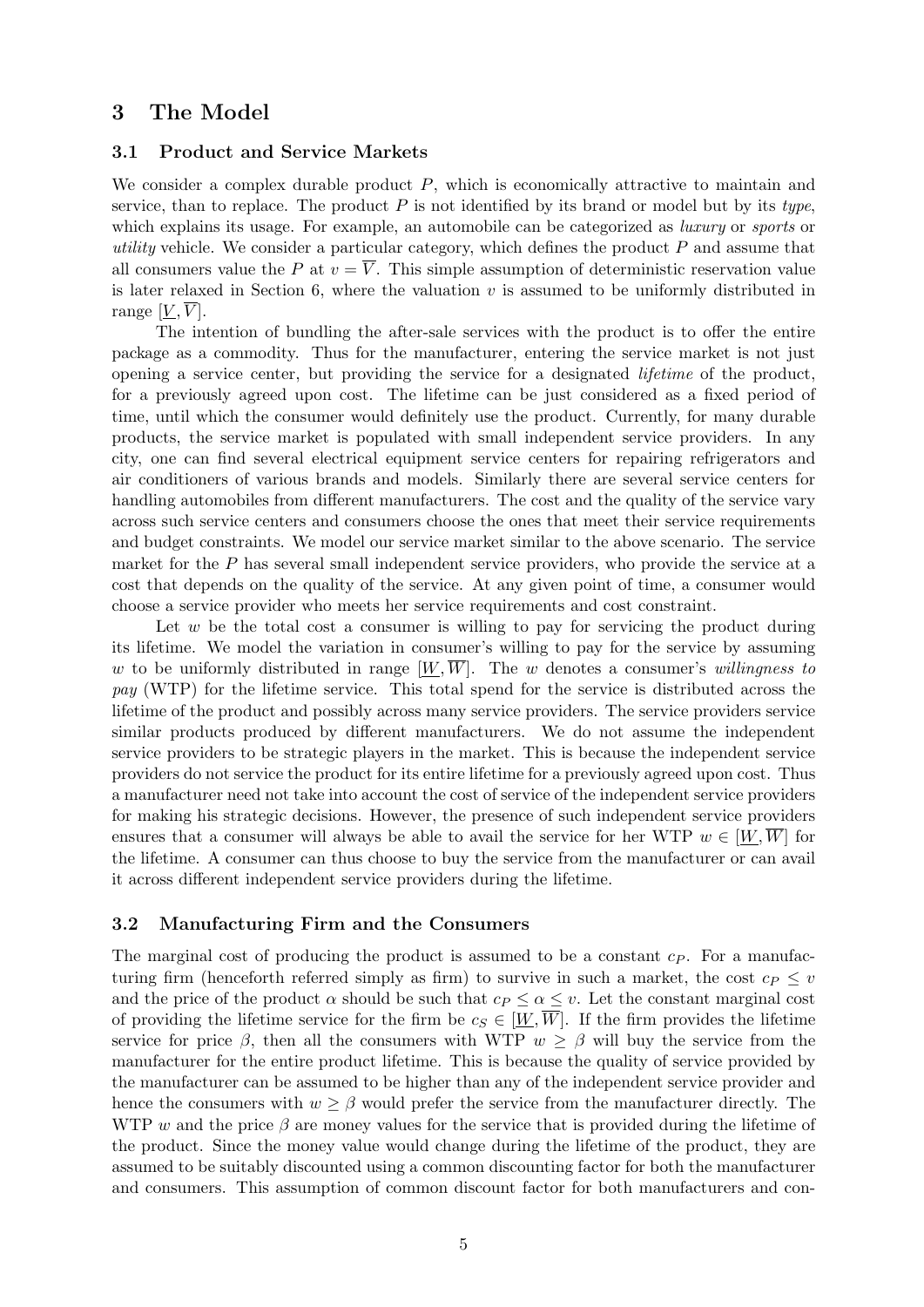## 3 The Model

#### 3.1 Product and Service Markets

We consider a complex durable product  $P$ , which is economically attractive to maintain and service, than to replace. The product  $P$  is not identified by its brand or model but by its type, which explains its usage. For example, an automobile can be categorized as *luxury* or *sports* or utility vehicle. We consider a particular category, which defines the product  $P$  and assume that all consumers value the P at  $v = \overline{V}$ . This simple assumption of deterministic reservation value is later relaxed in Section 6, where the valuation  $v$  is assumed to be uniformly distributed in range  $[V, V]$ .

The intention of bundling the after-sale services with the product is to offer the entire package as a commodity. Thus for the manufacturer, entering the service market is not just opening a service center, but providing the service for a designated lifetime of the product, for a previously agreed upon cost. The lifetime can be just considered as a fixed period of time, until which the consumer would definitely use the product. Currently, for many durable products, the service market is populated with small independent service providers. In any city, one can find several electrical equipment service centers for repairing refrigerators and air conditioners of various brands and models. Similarly there are several service centers for handling automobiles from different manufacturers. The cost and the quality of the service vary across such service centers and consumers choose the ones that meet their service requirements and budget constraints. We model our service market similar to the above scenario. The service market for the  $P$  has several small independent service providers, who provide the service at a cost that depends on the quality of the service. At any given point of time, a consumer would choose a service provider who meets her service requirements and cost constraint.

Let  $w$  be the total cost a consumer is willing to pay for servicing the product during its lifetime. We model the variation in consumer's willing to pay for the service by assuming w to be uniformly distributed in range  $[\underline{W}, \overline{W}]$ . The w denotes a consumer's willingness to pay (WTP) for the lifetime service. This total spend for the service is distributed across the lifetime of the product and possibly across many service providers. The service providers service similar products produced by different manufacturers. We do not assume the independent service providers to be strategic players in the market. This is because the independent service providers do not service the product for its entire lifetime for a previously agreed upon cost. Thus a manufacturer need not take into account the cost of service of the independent service providers for making his strategic decisions. However, the presence of such independent service providers ensures that a consumer will always be able to avail the service for her WTP  $w \in [W, W]$  for the lifetime. A consumer can thus choose to buy the service from the manufacturer or can avail it across different independent service providers during the lifetime.

#### 3.2 Manufacturing Firm and the Consumers

The marginal cost of producing the product is assumed to be a constant  $c_P$ . For a manufacturing firm (henceforth referred simply as firm) to survive in such a market, the cost  $c_P \leq v$ and the price of the product  $\alpha$  should be such that  $c_P \leq \alpha \leq v$ . Let the constant marginal cost of providing the lifetime service for the firm be  $c_S \in [\underline{W}, \overline{W}]$ . If the firm provides the lifetime service for price  $\beta$ , then all the consumers with WTP  $w \geq \beta$  will buy the service from the manufacturer for the entire product lifetime. This is because the quality of service provided by the manufacturer can be assumed to be higher than any of the independent service provider and hence the consumers with  $w \geq \beta$  would prefer the service from the manufacturer directly. The WTP w and the price  $\beta$  are money values for the service that is provided during the lifetime of the product. Since the money value would change during the lifetime of the product, they are assumed to be suitably discounted using a common discounting factor for both the manufacturer and consumers. This assumption of common discount factor for both manufacturers and con-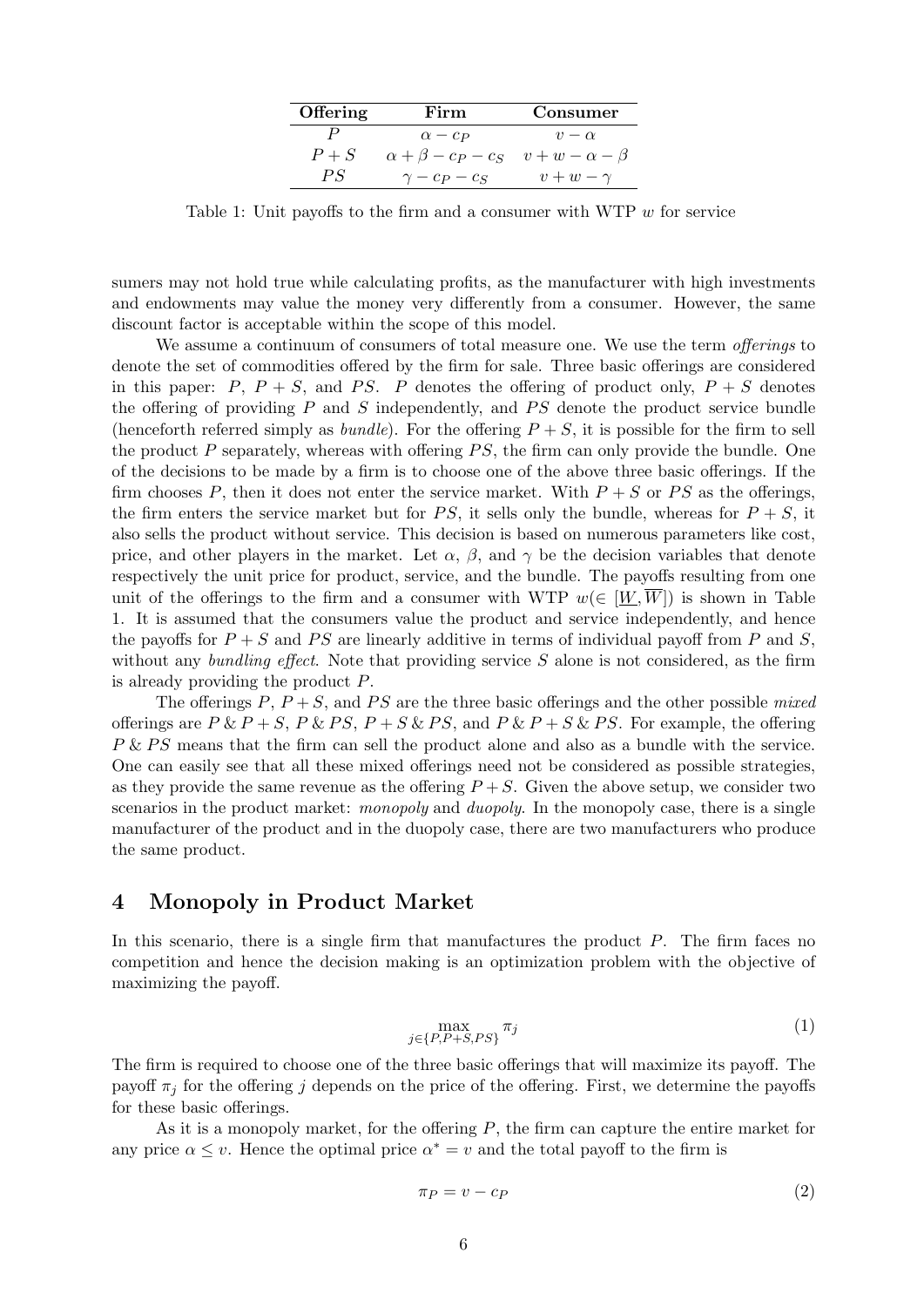| Offering | Firm                         | Consumer                 |
|----------|------------------------------|--------------------------|
|          | $\alpha - c_P$               | $v-\alpha$               |
| $P + S$  | $\alpha + \beta - c_P - c_S$ | $v + w - \alpha - \beta$ |
| PS       | $\gamma - c_P - c_S$         | $v + w - \gamma$         |

Table 1: Unit payoffs to the firm and a consumer with WTP  $w$  for service

sumers may not hold true while calculating profits, as the manufacturer with high investments and endowments may value the money very differently from a consumer. However, the same discount factor is acceptable within the scope of this model.

We assume a continuum of consumers of total measure one. We use the term *offerings* to denote the set of commodities offered by the firm for sale. Three basic offerings are considered in this paper: P,  $P + S$ , and PS. P denotes the offering of product only,  $P + S$  denotes the offering of providing  $P$  and  $S$  independently, and  $PS$  denote the product service bundle (henceforth referred simply as *bundle*). For the offering  $P + S$ , it is possible for the firm to sell the product  $P$  separately, whereas with offering  $PS$ , the firm can only provide the bundle. One of the decisions to be made by a firm is to choose one of the above three basic offerings. If the firm chooses P, then it does not enter the service market. With  $P + S$  or PS as the offerings, the firm enters the service market but for  $PS$ , it sells only the bundle, whereas for  $P + S$ , it also sells the product without service. This decision is based on numerous parameters like cost, price, and other players in the market. Let  $\alpha$ ,  $\beta$ , and  $\gamma$  be the decision variables that denote respectively the unit price for product, service, and the bundle. The payoffs resulting from one unit of the offerings to the firm and a consumer with WTP  $w(\in [W, \overline{W}])$  is shown in Table 1. It is assumed that the consumers value the product and service independently, and hence the payoffs for  $P + S$  and PS are linearly additive in terms of individual payoff from P and S. without any bundling effect. Note that providing service  $S$  alone is not considered, as the firm is already providing the product P.

The offerings  $P, P+S$ , and  $PS$  are the three basic offerings and the other possible mixed offerings are P & P + S, P & PS,  $P + S$  & PS, and P & P + S & PS. For example, the offering P & PS means that the firm can sell the product alone and also as a bundle with the service. One can easily see that all these mixed offerings need not be considered as possible strategies, as they provide the same revenue as the offering  $P + S$ . Given the above setup, we consider two scenarios in the product market: *monopoly* and *duopoly*. In the monopoly case, there is a single manufacturer of the product and in the duopoly case, there are two manufacturers who produce the same product.

## 4 Monopoly in Product Market

In this scenario, there is a single firm that manufactures the product P. The firm faces no competition and hence the decision making is an optimization problem with the objective of maximizing the payoff.

$$
\max_{j \in \{P, P+S, PS\}} \pi_j \tag{1}
$$

The firm is required to choose one of the three basic offerings that will maximize its payoff. The payoff  $\pi_j$  for the offering j depends on the price of the offering. First, we determine the payoffs for these basic offerings.

As it is a monopoly market, for the offering  $P$ , the firm can capture the entire market for any price  $\alpha \leq v$ . Hence the optimal price  $\alpha^* = v$  and the total payoff to the firm is

$$
\pi_P = v - c_P \tag{2}
$$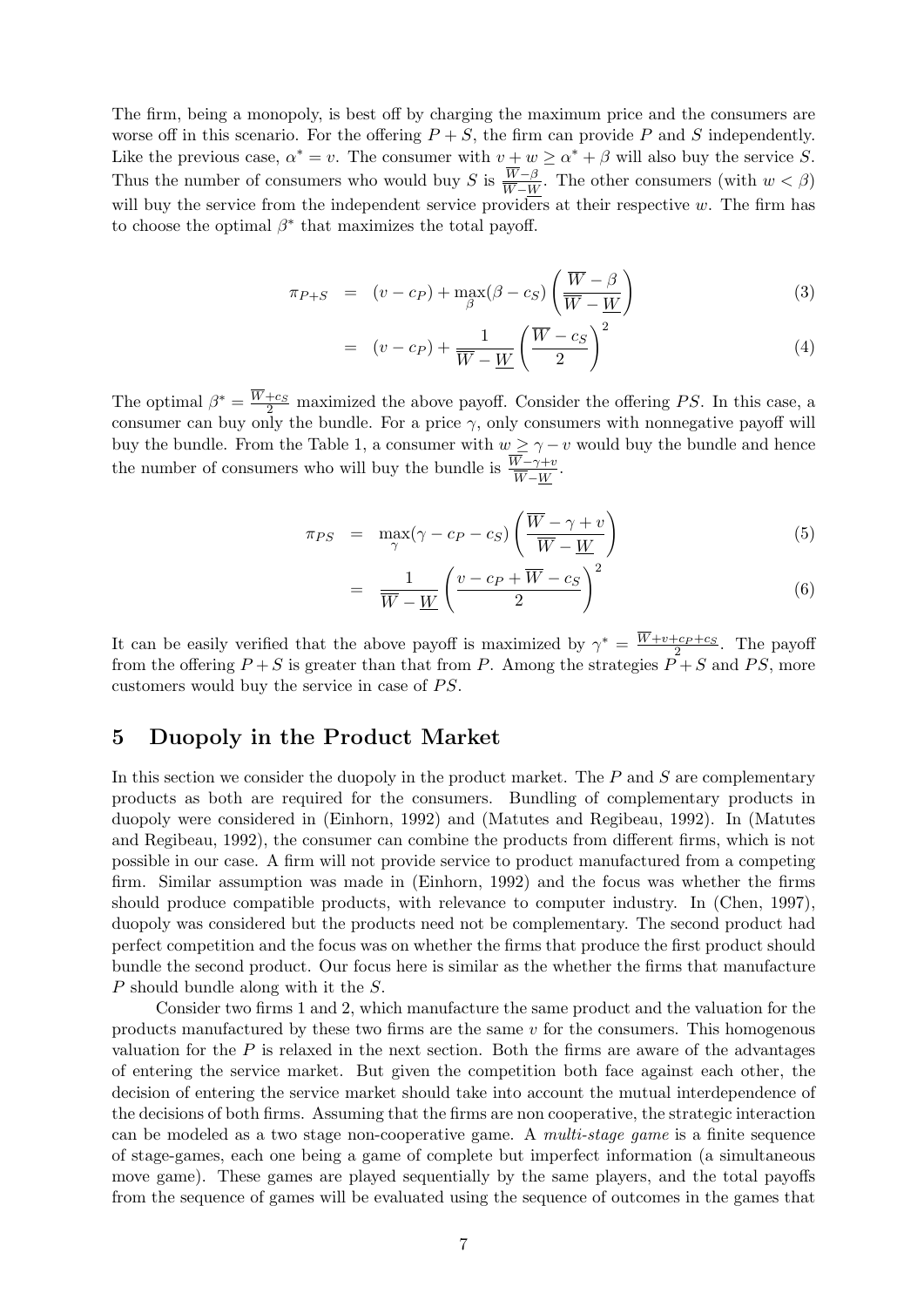The firm, being a monopoly, is best off by charging the maximum price and the consumers are worse off in this scenario. For the offering  $P + S$ , the firm can provide P and S independently. Like the previous case,  $\alpha^* = v$ . The consumer with  $v + w \ge \alpha^* + \beta$  will also buy the service S. Thus the number of consumers who would buy S is  $\frac{W-\beta}{W-W}$ . The other consumers (with  $w < \beta$ ) will buy the service from the independent service providers at their respective w. The firm has to choose the optimal  $\beta^*$  that maximizes the total payoff.

$$
\pi_{P+S} = (v - c_P) + \max_{\beta} (\beta - c_S) \left( \frac{\overline{W} - \beta}{\overline{W} - \underline{W}} \right)
$$
(3)

$$
= (v - c_P) + \frac{1}{\overline{W} - \underline{W}} \left(\frac{\overline{W} - c_S}{2}\right)^2 \tag{4}
$$

The optimal  $\beta^* = \frac{W+c_S}{2}$  maximized the above payoff. Consider the offering PS. In this case, a consumer can buy only the bundle. For a price  $\gamma$ , only consumers with nonnegative payoff will buy the bundle. From the Table 1, a consumer with  $w \ge \gamma - v$  would buy the bundle and hence the number of consumers who will buy the bundle is  $\frac{W-\gamma+v}{\overline{W}-W}$ .

$$
\pi_{PS} = \max_{\gamma} (\gamma - c_P - c_S) \left( \frac{\overline{W} - \gamma + v}{\overline{W} - \underline{W}} \right) \tag{5}
$$

$$
= \frac{1}{\overline{W} - \underline{W}} \left( \frac{v - c_P + \overline{W} - c_S}{2} \right)^2 \tag{6}
$$

It can be easily verified that the above payoff is maximized by  $\gamma^* = \frac{W+v+c_P+c_S}{2}$  $\frac{1}{2}$   $\frac{1}{2}$ . The payoff from the offering  $P + S$  is greater than that from P. Among the strategies  $\tilde{P} + S$  and PS, more customers would buy the service in case of PS.

# 5 Duopoly in the Product Market

In this section we consider the duopoly in the product market. The  $P$  and  $S$  are complementary products as both are required for the consumers. Bundling of complementary products in duopoly were considered in (Einhorn, 1992) and (Matutes and Regibeau, 1992). In (Matutes and Regibeau, 1992), the consumer can combine the products from different firms, which is not possible in our case. A firm will not provide service to product manufactured from a competing firm. Similar assumption was made in (Einhorn, 1992) and the focus was whether the firms should produce compatible products, with relevance to computer industry. In (Chen, 1997), duopoly was considered but the products need not be complementary. The second product had perfect competition and the focus was on whether the firms that produce the first product should bundle the second product. Our focus here is similar as the whether the firms that manufacture P should bundle along with it the S.

Consider two firms 1 and 2, which manufacture the same product and the valuation for the products manufactured by these two firms are the same  $v$  for the consumers. This homogenous valuation for the  $P$  is relaxed in the next section. Both the firms are aware of the advantages of entering the service market. But given the competition both face against each other, the decision of entering the service market should take into account the mutual interdependence of the decisions of both firms. Assuming that the firms are non cooperative, the strategic interaction can be modeled as a two stage non-cooperative game. A multi-stage game is a finite sequence of stage-games, each one being a game of complete but imperfect information (a simultaneous move game). These games are played sequentially by the same players, and the total payoffs from the sequence of games will be evaluated using the sequence of outcomes in the games that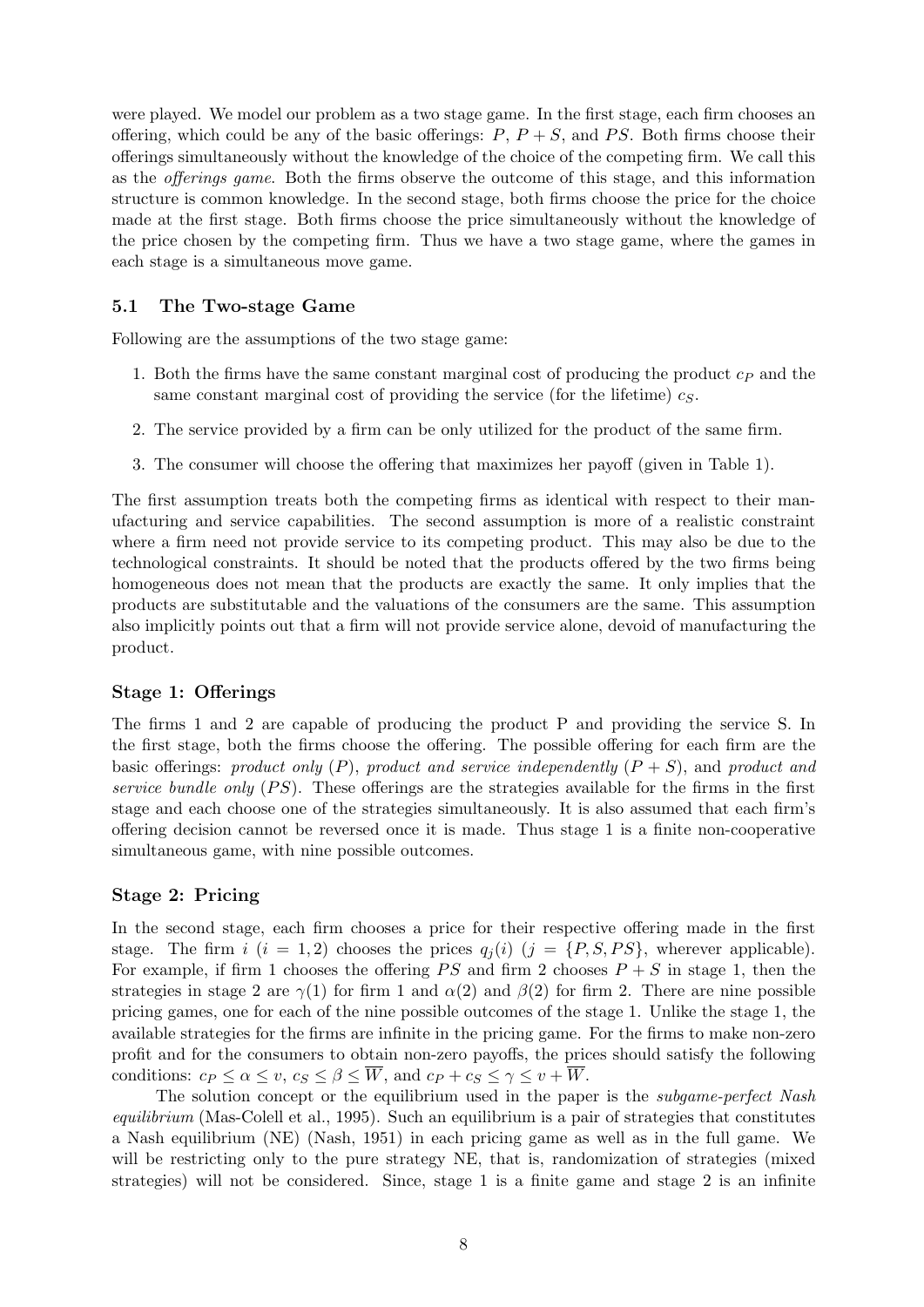were played. We model our problem as a two stage game. In the first stage, each firm chooses an offering, which could be any of the basic offerings:  $P, P + S$ , and PS. Both firms choose their offerings simultaneously without the knowledge of the choice of the competing firm. We call this as the offerings game. Both the firms observe the outcome of this stage, and this information structure is common knowledge. In the second stage, both firms choose the price for the choice made at the first stage. Both firms choose the price simultaneously without the knowledge of the price chosen by the competing firm. Thus we have a two stage game, where the games in each stage is a simultaneous move game.

## 5.1 The Two-stage Game

Following are the assumptions of the two stage game:

- 1. Both the firms have the same constant marginal cost of producing the product  $c_P$  and the same constant marginal cost of providing the service (for the lifetime)  $c_S$ .
- 2. The service provided by a firm can be only utilized for the product of the same firm.
- 3. The consumer will choose the offering that maximizes her payoff (given in Table 1).

The first assumption treats both the competing firms as identical with respect to their manufacturing and service capabilities. The second assumption is more of a realistic constraint where a firm need not provide service to its competing product. This may also be due to the technological constraints. It should be noted that the products offered by the two firms being homogeneous does not mean that the products are exactly the same. It only implies that the products are substitutable and the valuations of the consumers are the same. This assumption also implicitly points out that a firm will not provide service alone, devoid of manufacturing the product.

### Stage 1: Offerings

The firms 1 and 2 are capable of producing the product P and providing the service S. In the first stage, both the firms choose the offering. The possible offering for each firm are the basic offerings: product only  $(P)$ , product and service independently  $(P + S)$ , and product and service bundle only  $(PS)$ . These offerings are the strategies available for the firms in the first stage and each choose one of the strategies simultaneously. It is also assumed that each firm's offering decision cannot be reversed once it is made. Thus stage 1 is a finite non-cooperative simultaneous game, with nine possible outcomes.

### Stage 2: Pricing

In the second stage, each firm chooses a price for their respective offering made in the first stage. The firm i  $(i = 1, 2)$  chooses the prices  $q_i(i)$   $(j = \{P, S, PS\}$ , wherever applicable). For example, if firm 1 chooses the offering PS and firm 2 chooses  $P + S$  in stage 1, then the strategies in stage 2 are  $\gamma(1)$  for firm 1 and  $\alpha(2)$  and  $\beta(2)$  for firm 2. There are nine possible pricing games, one for each of the nine possible outcomes of the stage 1. Unlike the stage 1, the available strategies for the firms are infinite in the pricing game. For the firms to make non-zero profit and for the consumers to obtain non-zero payoffs, the prices should satisfy the following conditions:  $c_P \leq \alpha \leq v$ ,  $c_S \leq \beta \leq \overline{W}$ , and  $c_P + c_S \leq \gamma \leq v + \overline{W}$ .

The solution concept or the equilibrium used in the paper is the *subgame-perfect* Nash equilibrium (Mas-Colell et al., 1995). Such an equilibrium is a pair of strategies that constitutes a Nash equilibrium (NE) (Nash, 1951) in each pricing game as well as in the full game. We will be restricting only to the pure strategy NE, that is, randomization of strategies (mixed strategies) will not be considered. Since, stage 1 is a finite game and stage 2 is an infinite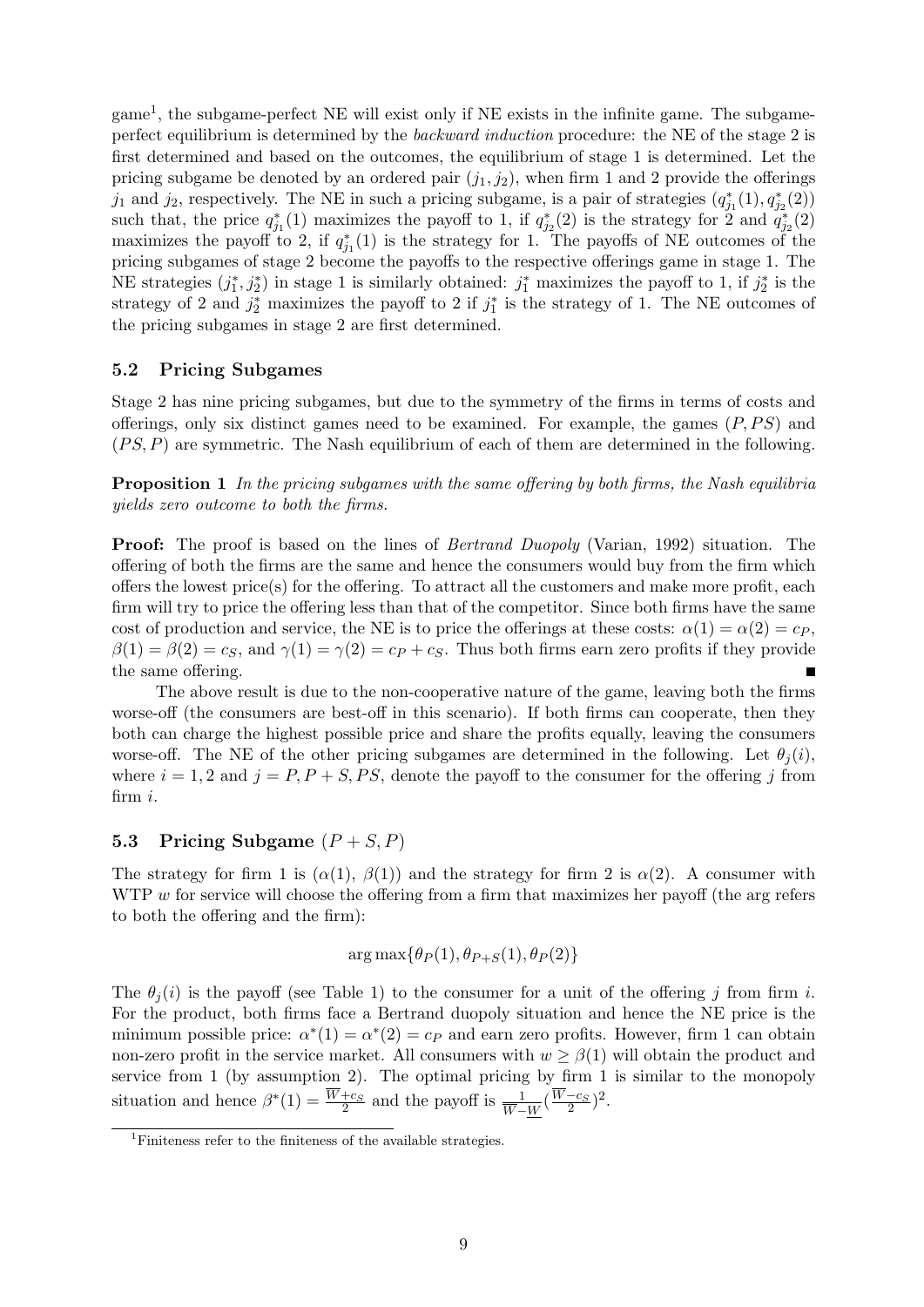game<sup>1</sup> , the subgame-perfect NE will exist only if NE exists in the infinite game. The subgameperfect equilibrium is determined by the backward induction procedure: the NE of the stage 2 is first determined and based on the outcomes, the equilibrium of stage 1 is determined. Let the pricing subgame be denoted by an ordered pair  $(j_1, j_2)$ , when firm 1 and 2 provide the offerings j<sub>1</sub> and j<sub>2</sub>, respectively. The NE in such a pricing subgame, is a pair of strategies  $(q_{j_1}^*(1), q_{j_2}^*(2))$ such that, the price  $q_{j_1}^*(1)$  maximizes the payoff to 1, if  $q_{j_2}^*(2)$  is the strategy for 2 and  $q_{j_2}^*(2)$ maximizes the payoff to 2, if  $q_{j_1}^*(1)$  is the strategy for 1. The payoffs of NE outcomes of the pricing subgames of stage 2 become the payoffs to the respective offerings game in stage 1. The NE strategies  $(j_1^*, j_2^*)$  in stage 1 is similarly obtained:  $j_1^*$  maximizes the payoff to 1, if  $j_2^*$  is the strategy of 2 and  $j_2^*$  maximizes the payoff to 2 if  $j_1^*$  is the strategy of 1. The NE outcomes of the pricing subgames in stage 2 are first determined.

### 5.2 Pricing Subgames

Stage 2 has nine pricing subgames, but due to the symmetry of the firms in terms of costs and offerings, only six distinct games need to be examined. For example, the games  $(P, PS)$  and  $(PS, P)$  are symmetric. The Nash equilibrium of each of them are determined in the following.

**Proposition 1** In the pricing subgames with the same offering by both firms, the Nash equilibria yields zero outcome to both the firms.

**Proof:** The proof is based on the lines of *Bertrand Duopoly* (Varian, 1992) situation. The offering of both the firms are the same and hence the consumers would buy from the firm which offers the lowest price(s) for the offering. To attract all the customers and make more profit, each firm will try to price the offering less than that of the competitor. Since both firms have the same cost of production and service, the NE is to price the offerings at these costs:  $\alpha(1) = \alpha(2) = c_P$ ,  $\beta(1) = \beta(2) = c_s$ , and  $\gamma(1) = \gamma(2) = c_P + c_s$ . Thus both firms earn zero profits if they provide the same offering.

The above result is due to the non-cooperative nature of the game, leaving both the firms worse-off (the consumers are best-off in this scenario). If both firms can cooperate, then they both can charge the highest possible price and share the profits equally, leaving the consumers worse-off. The NE of the other pricing subgames are determined in the following. Let  $\theta_i(i)$ , where  $i = 1, 2$  and  $j = P, P + S, PS$ , denote the payoff to the consumer for the offering j from firm i.

### 5.3 Pricing Subgame  $(P + S, P)$

The strategy for firm 1 is  $(\alpha(1), \beta(1))$  and the strategy for firm 2 is  $\alpha(2)$ . A consumer with WTP  $w$  for service will choose the offering from a firm that maximizes her payoff (the arg refers to both the offering and the firm):

$$
\arg \max\{\theta_P(1), \theta_{P+S}(1), \theta_P(2)\}\
$$

The  $\theta_i(i)$  is the payoff (see Table 1) to the consumer for a unit of the offering j from firm i. For the product, both firms face a Bertrand duopoly situation and hence the NE price is the minimum possible price:  $\alpha^*(1) = \alpha^*(2) = c_P$  and earn zero profits. However, firm 1 can obtain non-zero profit in the service market. All consumers with  $w \geq \beta(1)$  will obtain the product and service from 1 (by assumption 2). The optimal pricing by firm 1 is similar to the monopoly situation and hence  $\beta^*(1) = \frac{W+c_S}{2}$  and the payoff is  $\frac{1}{W-W}(\frac{W-c_S}{2})$  $\frac{-c_S}{2})^2.$ 

<sup>1</sup>Finiteness refer to the finiteness of the available strategies.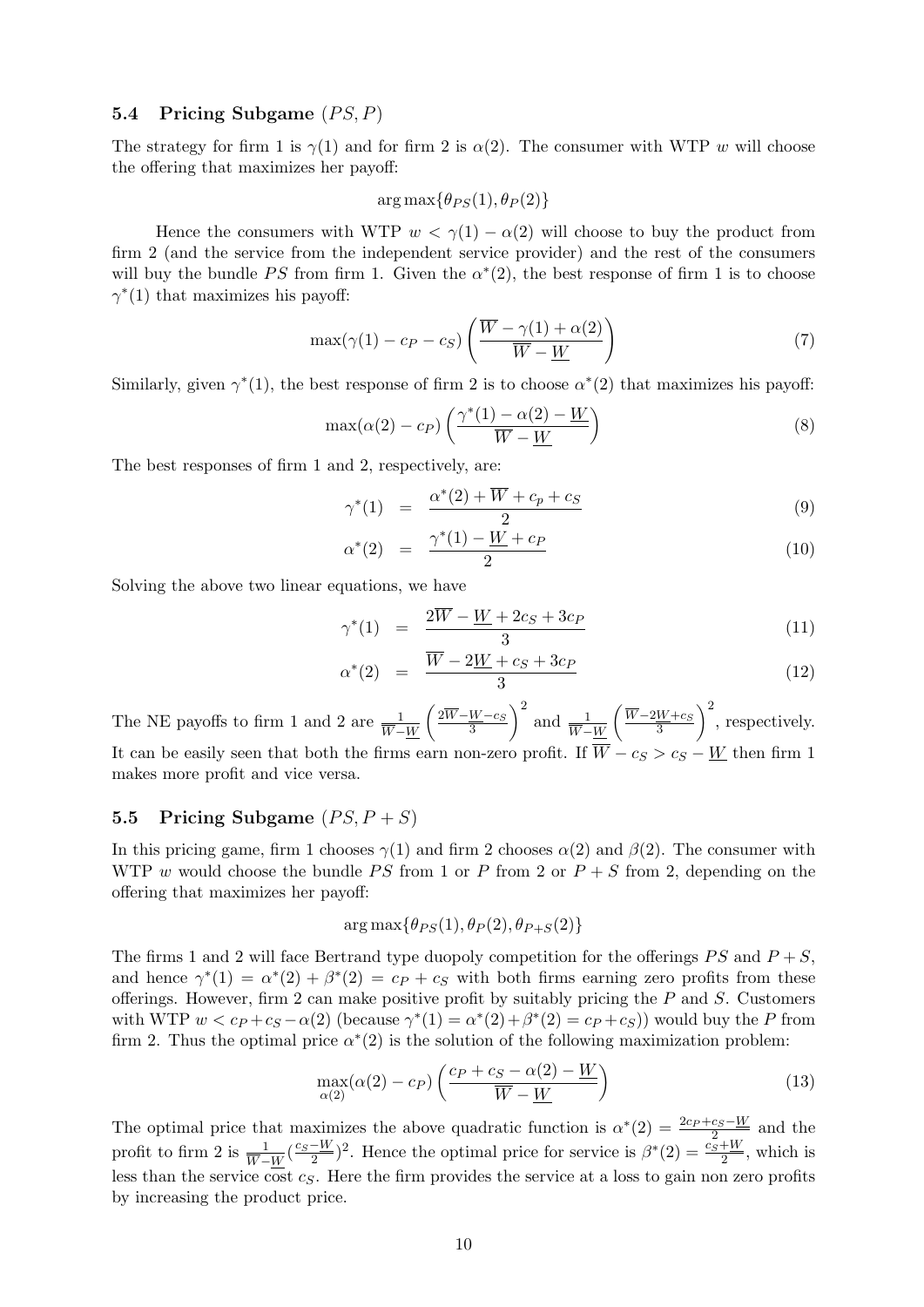#### 5.4 Pricing Subgame (PS, P)

The strategy for firm 1 is  $\gamma(1)$  and for firm 2 is  $\alpha(2)$ . The consumer with WTP w will choose the offering that maximizes her payoff:

$$
\arg \max \{ \theta_{PS}(1), \theta_{P}(2) \}
$$

Hence the consumers with WTP  $w < \gamma(1) - \alpha(2)$  will choose to buy the product from firm 2 (and the service from the independent service provider) and the rest of the consumers will buy the bundle PS from firm 1. Given the  $\alpha^*(2)$ , the best response of firm 1 is to choose  $\gamma^*(1)$  that maximizes his payoff:

$$
\max(\gamma(1) - c_P - c_S) \left( \frac{\overline{W} - \gamma(1) + \alpha(2)}{\overline{W} - \underline{W}} \right) \tag{7}
$$

Similarly, given  $\gamma^*(1)$ , the best response of firm 2 is to choose  $\alpha^*(2)$  that maximizes his payoff:

$$
\max(\alpha(2) - c_P) \left( \frac{\gamma^*(1) - \alpha(2) - \underline{W}}{\overline{W} - \underline{W}} \right)
$$
\n(8)

The best responses of firm 1 and 2, respectively, are:

$$
\gamma^*(1) = \frac{\alpha^*(2) + \overline{W} + c_p + c_S}{2} \tag{9}
$$

$$
\alpha^*(2) = \frac{\gamma^*(1) - \underline{W} + c_P}{2} \tag{10}
$$

Solving the above two linear equations, we have

$$
\gamma^*(1) = \frac{2\overline{W} - \underline{W} + 2c_S + 3c_P}{3} \tag{11}
$$

$$
\alpha^*(2) = \frac{\overline{W} - 2\underline{W} + c_S + 3c_P}{3} \tag{12}
$$

The NE payoffs to firm 1 and 2 are  $\frac{1}{\overline{W}-W}$  $\int 2\overline{W}-\underline{W}-c_S$ 3  $\Big)^2$  and  $\frac{1}{\overline{W}-\underline{W}}$  $\sqrt{W-2W+c_S}$ 3  $\big)^2$ , respectively. It can be easily seen that both the firms earn non-zero profit. If  $\overline{W}$  – c<sub>S</sub> > c<sub>S</sub> − W then firm 1 makes more profit and vice versa.

#### 5.5 Pricing Subgame  $(PS, P + S)$

In this pricing game, firm 1 chooses  $\gamma(1)$  and firm 2 chooses  $\alpha(2)$  and  $\beta(2)$ . The consumer with WTP w would choose the bundle PS from 1 or P from 2 or  $P + S$  from 2, depending on the offering that maximizes her payoff:

$$
\arg\max\{\theta_{PS}(1), \theta_P(2), \theta_{P+S}(2)\}
$$

The firms 1 and 2 will face Bertrand type duopoly competition for the offerings  $PS$  and  $P + S$ , and hence  $\gamma^*(1) = \alpha^*(2) + \beta^*(2) = c_P + c_S$  with both firms earning zero profits from these offerings. However, firm 2 can make positive profit by suitably pricing the  $P$  and  $S$ . Customers with WTP  $w < c_P + c_S - \alpha(2)$  (because  $\gamma^*(1) = \alpha^*(2) + \beta^*(2) = c_P + c_S$ )) would buy the P from firm 2. Thus the optimal price  $\alpha^*(2)$  is the solution of the following maximization problem:

$$
\max_{\alpha(2)} (\alpha(2) - c_P) \left( \frac{c_P + c_S - \alpha(2) - \underline{W}}{\overline{W} - \underline{W}} \right)
$$
\n(13)

The optimal price that maximizes the above quadratic function is  $\alpha^*(2) = \frac{2c_P + c_S - W}{2}$  and the profit to firm 2 is  $\frac{1}{\overline{W}-\underline{W}}(\frac{c_S-\underline{W}}{2})$  $\frac{2}{2}(\frac{2}{2})^2$ . Hence the optimal price for service is  $\beta^*(2) = \frac{c_S + W}{2}$ , which is less than the service cost  $c_S$ . Here the firm provides the service at a loss to gain non zero profits by increasing the product price.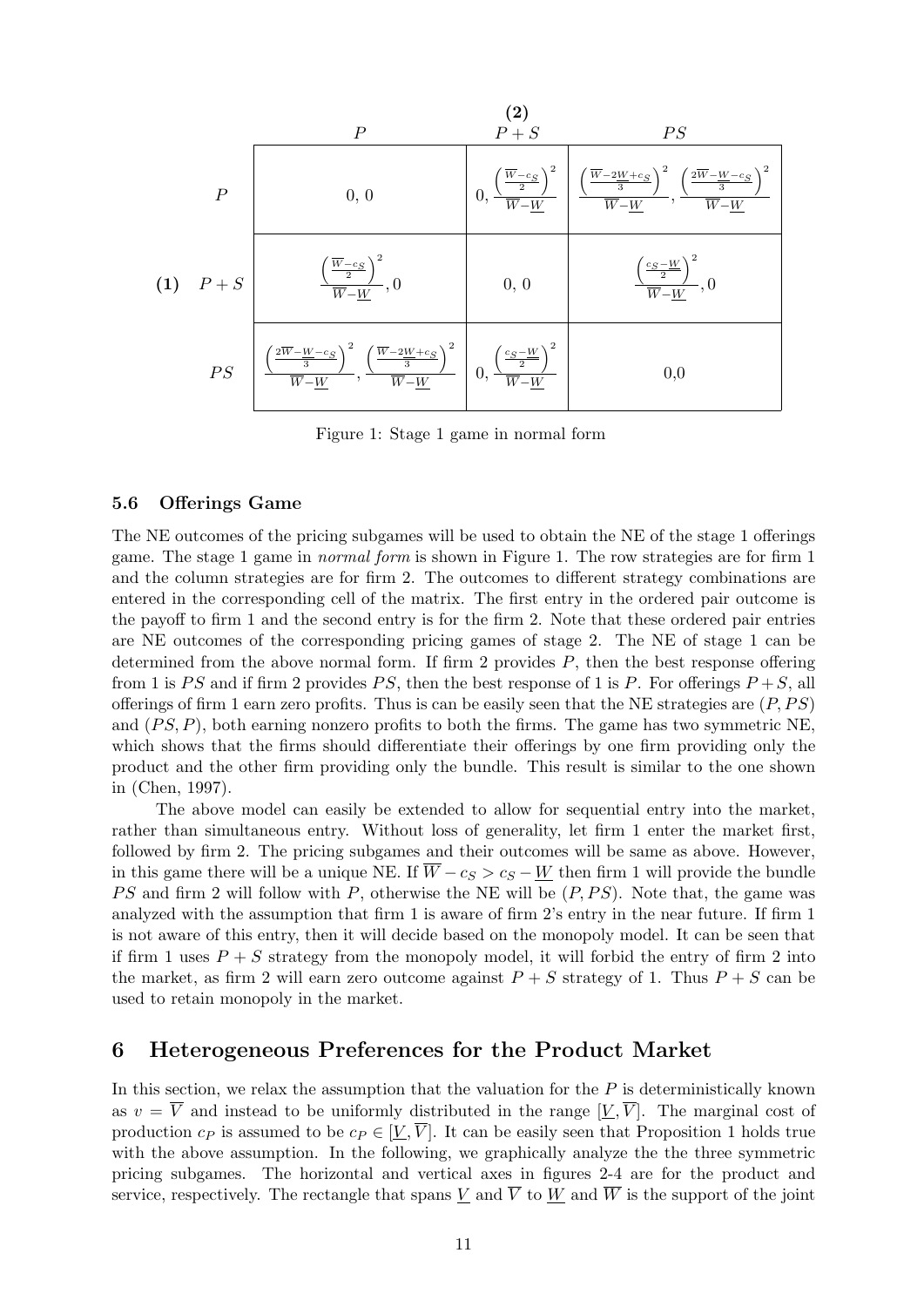

Figure 1: Stage 1 game in normal form

#### 5.6 Offerings Game

The NE outcomes of the pricing subgames will be used to obtain the NE of the stage 1 offerings game. The stage 1 game in normal form is shown in Figure 1. The row strategies are for firm 1 and the column strategies are for firm 2. The outcomes to different strategy combinations are entered in the corresponding cell of the matrix. The first entry in the ordered pair outcome is the payoff to firm 1 and the second entry is for the firm 2. Note that these ordered pair entries are NE outcomes of the corresponding pricing games of stage 2. The NE of stage 1 can be determined from the above normal form. If firm 2 provides  $P$ , then the best response offering from 1 is PS and if firm 2 provides PS, then the best response of 1 is P. For offerings  $P+S$ , all offerings of firm 1 earn zero profits. Thus is can be easily seen that the NE strategies are  $(P, PS)$ and  $(PS, P)$ , both earning nonzero profits to both the firms. The game has two symmetric NE, which shows that the firms should differentiate their offerings by one firm providing only the product and the other firm providing only the bundle. This result is similar to the one shown in (Chen, 1997).

The above model can easily be extended to allow for sequential entry into the market, rather than simultaneous entry. Without loss of generality, let firm 1 enter the market first, followed by firm 2. The pricing subgames and their outcomes will be same as above. However, in this game there will be a unique NE. If  $\overline{W} - c_S > c_S - \underline{W}$  then firm 1 will provide the bundle  $PS$  and firm 2 will follow with P, otherwise the NE will be  $(P, PS)$ . Note that, the game was analyzed with the assumption that firm 1 is aware of firm 2's entry in the near future. If firm 1 is not aware of this entry, then it will decide based on the monopoly model. It can be seen that if firm 1 uses  $P + S$  strategy from the monopoly model, it will forbid the entry of firm 2 into the market, as firm 2 will earn zero outcome against  $P + S$  strategy of 1. Thus  $P + S$  can be used to retain monopoly in the market.

## 6 Heterogeneous Preferences for the Product Market

In this section, we relax the assumption that the valuation for the  $P$  is deterministically known as  $v = \overline{V}$  and instead to be uniformly distributed in the range  $[V, \overline{V}]$ . The marginal cost of production  $c_P$  is assumed to be  $c_P \in [V, \overline{V}]$ . It can be easily seen that Proposition 1 holds true with the above assumption. In the following, we graphically analyze the the three symmetric pricing subgames. The horizontal and vertical axes in figures 2-4 are for the product and service, respectively. The rectangle that spans V and  $\overline{V}$  to  $\underline{W}$  and  $\overline{W}$  is the support of the joint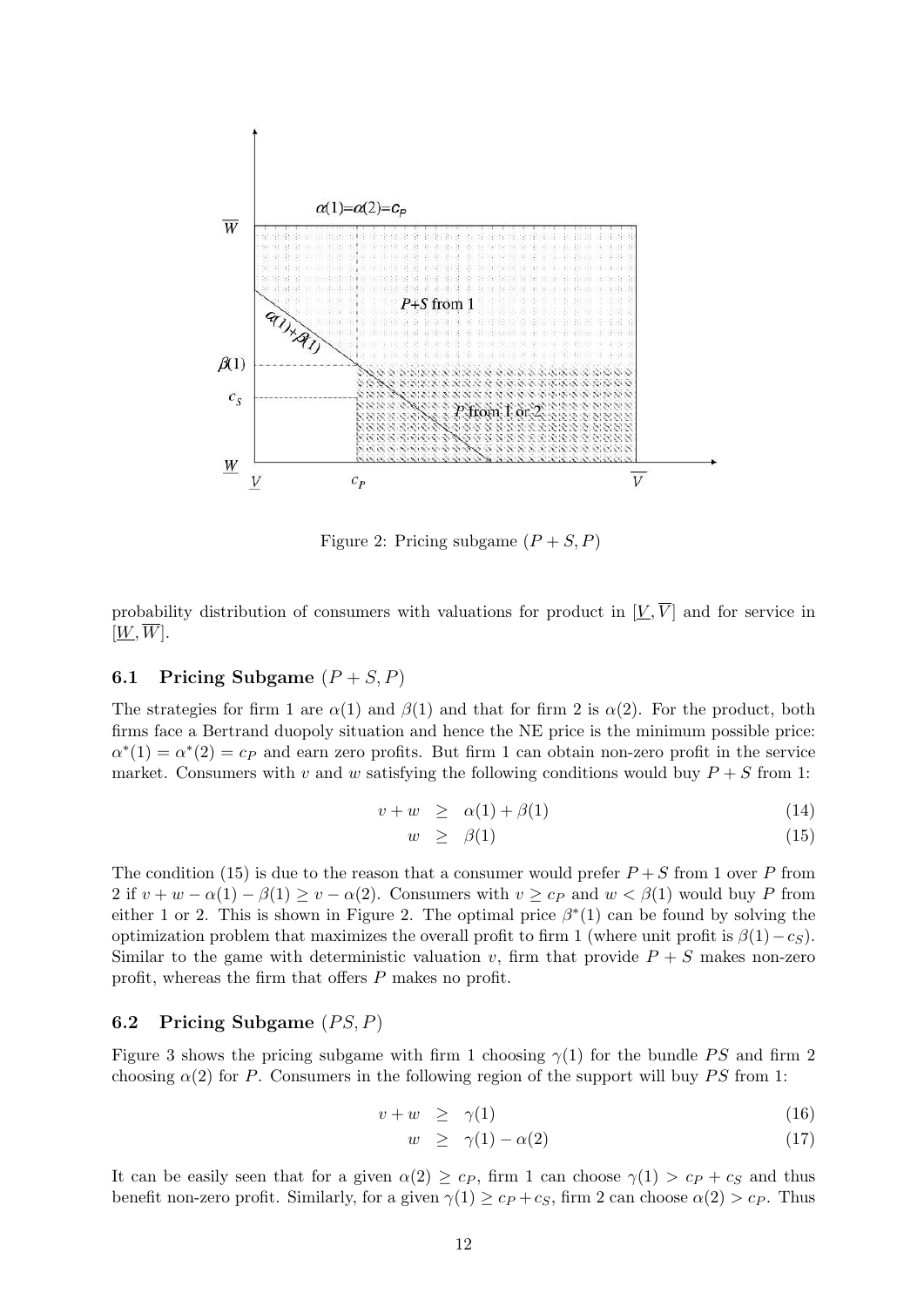

Figure 2: Pricing subgame  $(P + S, P)$ 

probability distribution of consumers with valuations for product in  $[V, \overline{V}]$  and for service in  $[\underline{W}, \overline{W}].$ 

## 6.1 Pricing Subgame  $(P + S, P)$

The strategies for firm 1 are  $\alpha(1)$  and  $\beta(1)$  and that for firm 2 is  $\alpha(2)$ . For the product, both firms face a Bertrand duopoly situation and hence the NE price is the minimum possible price:  $\alpha^*(1) = \alpha^*(2) = c_P$  and earn zero profits. But firm 1 can obtain non-zero profit in the service market. Consumers with v and w satisfying the following conditions would buy  $P + S$  from 1:

$$
v + w \geq \alpha(1) + \beta(1) \tag{14}
$$

$$
w \geq \beta(1) \tag{15}
$$

The condition (15) is due to the reason that a consumer would prefer  $P + S$  from 1 over P from 2 if  $v + w - \alpha(1) - \beta(1) \ge v - \alpha(2)$ . Consumers with  $v \ge c_P$  and  $w < \beta(1)$  would buy P from either 1 or 2. This is shown in Figure 2. The optimal price  $\beta^*(1)$  can be found by solving the optimization problem that maximizes the overall profit to firm 1 (where unit profit is  $\beta(1)-c_S$ ). Similar to the game with deterministic valuation v, firm that provide  $P + S$  makes non-zero profit, whereas the firm that offers P makes no profit.

#### 6.2 Pricing Subgame  $(PS, P)$

Figure 3 shows the pricing subgame with firm 1 choosing  $\gamma(1)$  for the bundle PS and firm 2 choosing  $\alpha(2)$  for P. Consumers in the following region of the support will buy PS from 1:

$$
v + w \ge \gamma(1) \tag{16}
$$

$$
w \ge \gamma(1) - \alpha(2) \tag{17}
$$

It can be easily seen that for a given  $\alpha(2) \geq c_P$ , firm 1 can choose  $\gamma(1) > c_P + c_S$  and thus benefit non-zero profit. Similarly, for a given  $\gamma(1) \geq c_P + c_S$ , firm 2 can choose  $\alpha(2) > c_P$ . Thus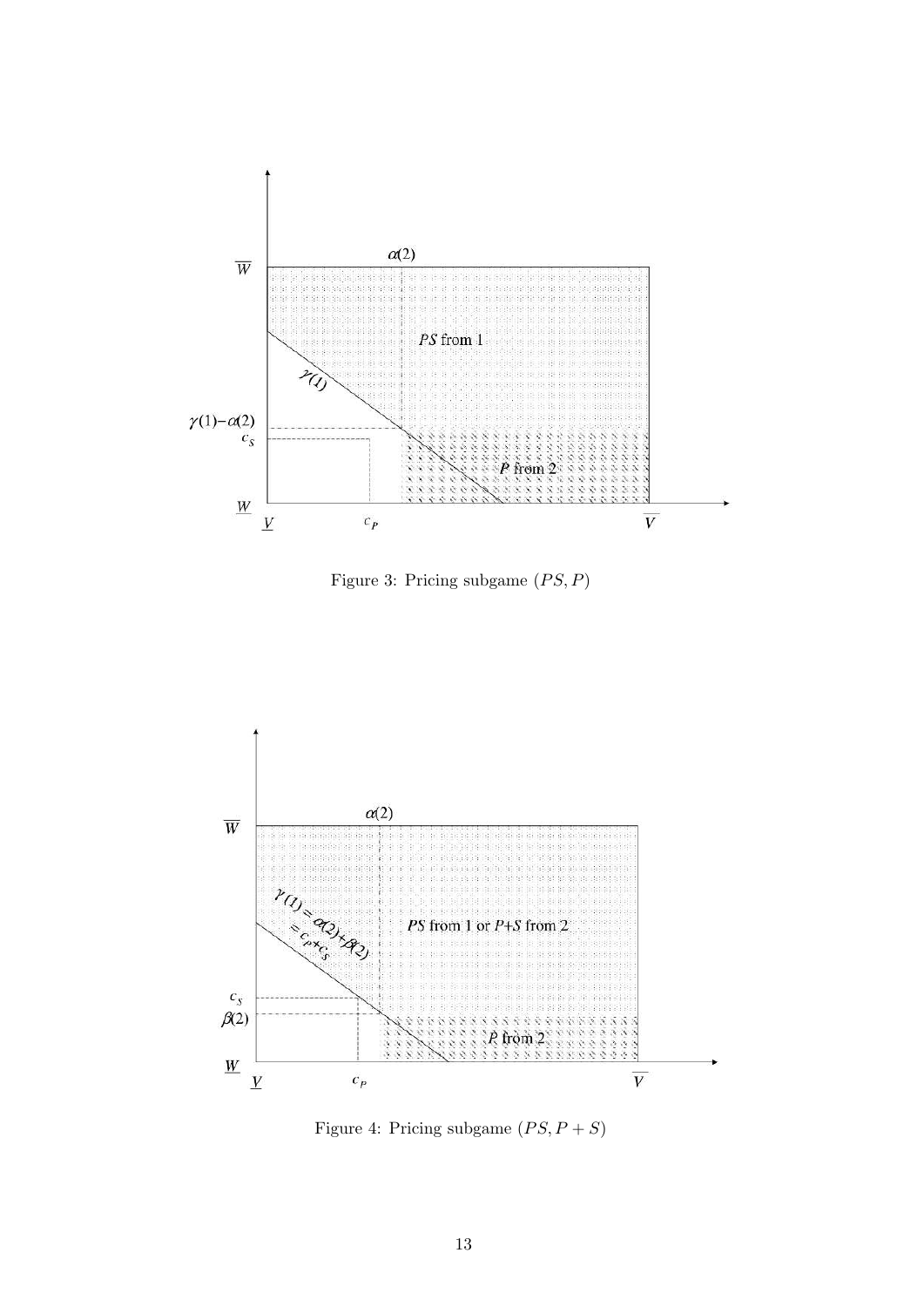

Figure 3: Pricing subgame  $(PS, P)$ 



Figure 4: Pricing subgame  $(PS, P + S)$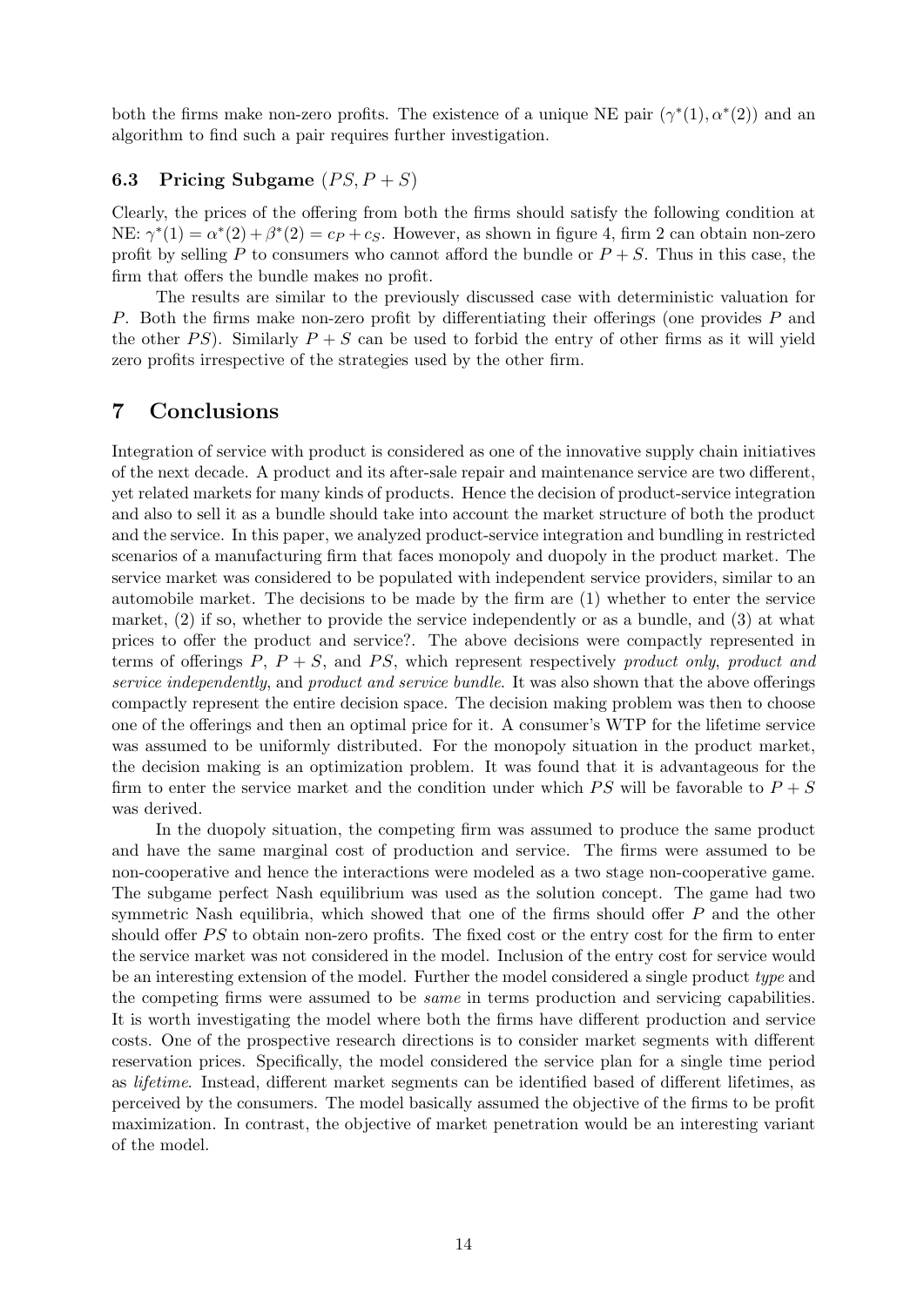both the firms make non-zero profits. The existence of a unique NE pair  $(\gamma^*(1), \alpha^*(2))$  and an algorithm to find such a pair requires further investigation.

#### 6.3 Pricing Subgame  $(PS, P+S)$

Clearly, the prices of the offering from both the firms should satisfy the following condition at NE:  $\gamma^*(1) = \alpha^*(2) + \beta^*(2) = c_P + c_S$ . However, as shown in figure 4, firm 2 can obtain non-zero profit by selling P to consumers who cannot afford the bundle or  $P + S$ . Thus in this case, the firm that offers the bundle makes no profit.

The results are similar to the previously discussed case with deterministic valuation for P. Both the firms make non-zero profit by differentiating their offerings (one provides P and the other PS). Similarly  $P + S$  can be used to forbid the entry of other firms as it will yield zero profits irrespective of the strategies used by the other firm.

# 7 Conclusions

Integration of service with product is considered as one of the innovative supply chain initiatives of the next decade. A product and its after-sale repair and maintenance service are two different, yet related markets for many kinds of products. Hence the decision of product-service integration and also to sell it as a bundle should take into account the market structure of both the product and the service. In this paper, we analyzed product-service integration and bundling in restricted scenarios of a manufacturing firm that faces monopoly and duopoly in the product market. The service market was considered to be populated with independent service providers, similar to an automobile market. The decisions to be made by the firm are (1) whether to enter the service market, (2) if so, whether to provide the service independently or as a bundle, and (3) at what prices to offer the product and service?. The above decisions were compactly represented in terms of offerings  $P, P + S$ , and  $PS$ , which represent respectively product only, product and service independently, and product and service bundle. It was also shown that the above offerings compactly represent the entire decision space. The decision making problem was then to choose one of the offerings and then an optimal price for it. A consumer's WTP for the lifetime service was assumed to be uniformly distributed. For the monopoly situation in the product market, the decision making is an optimization problem. It was found that it is advantageous for the firm to enter the service market and the condition under which  $PS$  will be favorable to  $P + S$ was derived.

In the duopoly situation, the competing firm was assumed to produce the same product and have the same marginal cost of production and service. The firms were assumed to be non-cooperative and hence the interactions were modeled as a two stage non-cooperative game. The subgame perfect Nash equilibrium was used as the solution concept. The game had two symmetric Nash equilibria, which showed that one of the firms should offer P and the other should offer  $PS$  to obtain non-zero profits. The fixed cost or the entry cost for the firm to enter the service market was not considered in the model. Inclusion of the entry cost for service would be an interesting extension of the model. Further the model considered a single product type and the competing firms were assumed to be same in terms production and servicing capabilities. It is worth investigating the model where both the firms have different production and service costs. One of the prospective research directions is to consider market segments with different reservation prices. Specifically, the model considered the service plan for a single time period as lifetime. Instead, different market segments can be identified based of different lifetimes, as perceived by the consumers. The model basically assumed the objective of the firms to be profit maximization. In contrast, the objective of market penetration would be an interesting variant of the model.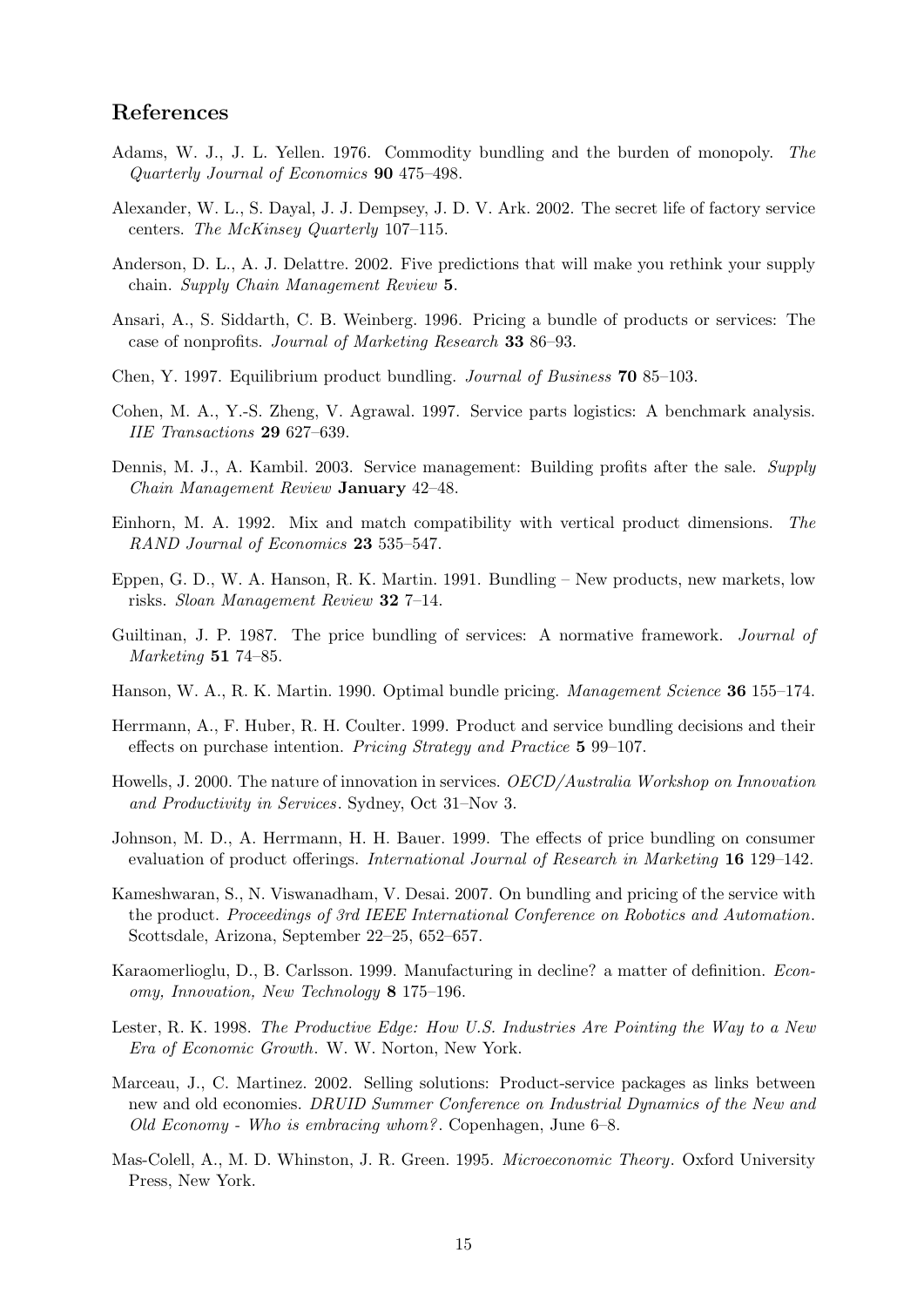# References

- Adams, W. J., J. L. Yellen. 1976. Commodity bundling and the burden of monopoly. The Quarterly Journal of Economics 90 475–498.
- Alexander, W. L., S. Dayal, J. J. Dempsey, J. D. V. Ark. 2002. The secret life of factory service centers. The McKinsey Quarterly 107–115.
- Anderson, D. L., A. J. Delattre. 2002. Five predictions that will make you rethink your supply chain. Supply Chain Management Review 5.
- Ansari, A., S. Siddarth, C. B. Weinberg. 1996. Pricing a bundle of products or services: The case of nonprofits. Journal of Marketing Research 33 86–93.
- Chen, Y. 1997. Equilibrium product bundling. Journal of Business 70 85–103.
- Cohen, M. A., Y.-S. Zheng, V. Agrawal. 1997. Service parts logistics: A benchmark analysis. IIE Transactions 29 627–639.
- Dennis, M. J., A. Kambil. 2003. Service management: Building profits after the sale. Supply Chain Management Review January 42–48.
- Einhorn, M. A. 1992. Mix and match compatibility with vertical product dimensions. The RAND Journal of Economics 23 535–547.
- Eppen, G. D., W. A. Hanson, R. K. Martin. 1991. Bundling New products, new markets, low risks. Sloan Management Review 32 7–14.
- Guiltinan, J. P. 1987. The price bundling of services: A normative framework. Journal of Marketing 51 74–85.
- Hanson, W. A., R. K. Martin. 1990. Optimal bundle pricing. Management Science 36 155–174.
- Herrmann, A., F. Huber, R. H. Coulter. 1999. Product and service bundling decisions and their effects on purchase intention. Pricing Strategy and Practice 5 99–107.
- Howells, J. 2000. The nature of innovation in services. OECD/Australia Workshop on Innovation and Productivity in Services. Sydney, Oct 31–Nov 3.
- Johnson, M. D., A. Herrmann, H. H. Bauer. 1999. The effects of price bundling on consumer evaluation of product offerings. International Journal of Research in Marketing 16 129–142.
- Kameshwaran, S., N. Viswanadham, V. Desai. 2007. On bundling and pricing of the service with the product. Proceedings of 3rd IEEE International Conference on Robotics and Automation. Scottsdale, Arizona, September 22–25, 652–657.
- Karaomerlioglu, D., B. Carlsson. 1999. Manufacturing in decline? a matter of definition. Economy, Innovation, New Technology 8 175–196.
- Lester, R. K. 1998. The Productive Edge: How U.S. Industries Are Pointing the Way to a New Era of Economic Growth. W. W. Norton, New York.
- Marceau, J., C. Martinez. 2002. Selling solutions: Product-service packages as links between new and old economies. DRUID Summer Conference on Industrial Dynamics of the New and Old Economy - Who is embracing whom?. Copenhagen, June 6–8.
- Mas-Colell, A., M. D. Whinston, J. R. Green. 1995. Microeconomic Theory. Oxford University Press, New York.